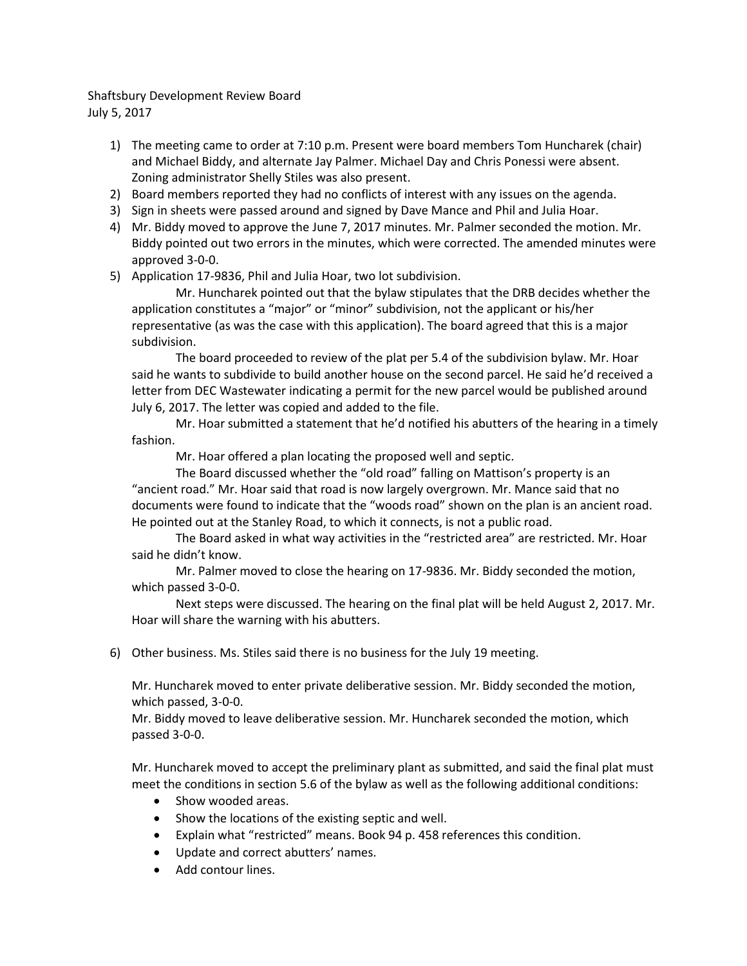Shaftsbury Development Review Board July 5, 2017

- 1) The meeting came to order at 7:10 p.m. Present were board members Tom Huncharek (chair) and Michael Biddy, and alternate Jay Palmer. Michael Day and Chris Ponessi were absent. Zoning administrator Shelly Stiles was also present.
- 2) Board members reported they had no conflicts of interest with any issues on the agenda.
- 3) Sign in sheets were passed around and signed by Dave Mance and Phil and Julia Hoar.
- 4) Mr. Biddy moved to approve the June 7, 2017 minutes. Mr. Palmer seconded the motion. Mr. Biddy pointed out two errors in the minutes, which were corrected. The amended minutes were approved 3-0-0.
- 5) Application 17-9836, Phil and Julia Hoar, two lot subdivision.

Mr. Huncharek pointed out that the bylaw stipulates that the DRB decides whether the application constitutes a "major" or "minor" subdivision, not the applicant or his/her representative (as was the case with this application). The board agreed that this is a major subdivision.

The board proceeded to review of the plat per 5.4 of the subdivision bylaw. Mr. Hoar said he wants to subdivide to build another house on the second parcel. He said he'd received a letter from DEC Wastewater indicating a permit for the new parcel would be published around July 6, 2017. The letter was copied and added to the file.

Mr. Hoar submitted a statement that he'd notified his abutters of the hearing in a timely fashion.

Mr. Hoar offered a plan locating the proposed well and septic.

The Board discussed whether the "old road" falling on Mattison's property is an "ancient road." Mr. Hoar said that road is now largely overgrown. Mr. Mance said that no documents were found to indicate that the "woods road" shown on the plan is an ancient road. He pointed out at the Stanley Road, to which it connects, is not a public road.

The Board asked in what way activities in the "restricted area" are restricted. Mr. Hoar said he didn't know.

Mr. Palmer moved to close the hearing on 17-9836. Mr. Biddy seconded the motion, which passed 3-0-0.

Next steps were discussed. The hearing on the final plat will be held August 2, 2017. Mr. Hoar will share the warning with his abutters.

6) Other business. Ms. Stiles said there is no business for the July 19 meeting.

Mr. Huncharek moved to enter private deliberative session. Mr. Biddy seconded the motion, which passed, 3-0-0.

Mr. Biddy moved to leave deliberative session. Mr. Huncharek seconded the motion, which passed 3-0-0.

Mr. Huncharek moved to accept the preliminary plant as submitted, and said the final plat must meet the conditions in section 5.6 of the bylaw as well as the following additional conditions:

- Show wooded areas.
- Show the locations of the existing septic and well.
- Explain what "restricted" means. Book 94 p. 458 references this condition.
- Update and correct abutters' names.
- Add contour lines.